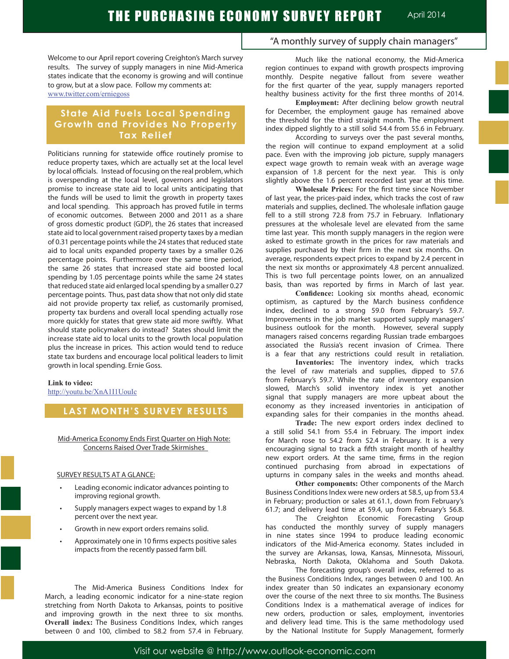Welcome to our April report covering Creighton's March survey results. The survey of supply managers in nine Mid-America states indicate that the economy is growing and will continue to grow, but at a slow pace. Follow my comments at: www.twitter.com/erniegoss

# **State Aid Fuels Local Spending Growth and Provides No Property Tax Relief**

Politicians running for statewide office routinely promise to reduce property taxes, which are actually set at the local level by local officials. Instead of focusing on the real problem, which is overspending at the local level, governors and legislators promise to increase state aid to local units anticipating that the funds will be used to limit the growth in property taxes and local spending. This approach has proved futile in terms of economic outcomes. Between 2000 and 2011 as a share of gross domestic product (GDP), the 26 states that increased state aid to local government raised property taxes by a median of 0.31 percentage points while the 24 states that reduced state aid to local units expanded property taxes by a smaller 0.26 percentage points. Furthermore over the same time period, the same 26 states that increased state aid boosted local spending by 1.05 percentage points while the same 24 states that reduced state aid enlarged local spending by a smaller 0.27 percentage points. Thus, past data show that not only did state aid not provide property tax relief, as customarily promised, property tax burdens and overall local spending actually rose more quickly for states that grew state aid more swiftly. What should state policymakers do instead? States should limit the increase state aid to local units to the growth local population plus the increase in prices. This action would tend to reduce state tax burdens and encourage local political leaders to limit growth in local spending. Ernie Goss.

#### **Link to video:** http://youtu.be/XnA1I1UouIc

# **LAST MONTH'S SURVEY RESULTS**

Mid-America Economy Ends First Quarter on High Note: Concerns Raised Over Trade Skirmishes

#### SURVEY RESULTS AT A GLANCE:

- Leading economic indicator advances pointing to improving regional growth.
- Supply managers expect wages to expand by 1.8 percent over the next year.
- Growth in new export orders remains solid.
- Approximately one in 10 firms expects positive sales impacts from the recently passed farm bill.

The Mid-America Business Conditions Index for March, a leading economic indicator for a nine-state region stretching from North Dakota to Arkansas, points to positive and improving growth in the next three to six months. **Overall index:** The Business Conditions Index, which ranges between 0 and 100, climbed to 58.2 from 57.4 in February.

"A monthly survey of supply chain managers"

Much like the national economy, the Mid-America region continues to expand with growth prospects improving monthly. Despite negative fallout from severe weather for the first quarter of the year, supply managers reported healthy business activity for the first three months of 2014.

**Employment:** After declining below growth neutral for December, the employment gauge has remained above the threshold for the third straight month. The employment index dipped slightly to a still solid 54.4 from 55.6 in February.

According to surveys over the past several months, the region will continue to expand employment at a solid pace. Even with the improving job picture, supply managers expect wage growth to remain weak with an average wage expansion of 1.8 percent for the next year. This is only slightly above the 1.6 percent recorded last year at this time.

**Wholesale Prices:** For the first time since November of last year, the prices-paid index, which tracks the cost of raw materials and supplies, declined. The wholesale inflation gauge fell to a still strong 72.8 from 75.7 in February. Inflationary pressures at the wholesale level are elevated from the same time last year. This month supply managers in the region were asked to estimate growth in the prices for raw materials and supplies purchased by their firm in the next six months. On average, respondents expect prices to expand by 2.4 percent in the next six months or approximately 4.8 percent annualized. This is two full percentage points lower, on an annualized basis, than was reported by firms in March of last year.

 **Confidence:** Looking six months ahead, economic optimism, as captured by the March business confidence index, declined to a strong 59.0 from February's 59.7. Improvements in the job market supported supply managers' business outlook for the month. However, several supply managers raised concerns regarding Russian trade embargoes associated the Russia's recent invasion of Crimea. There is a fear that any restrictions could result in retaliation.

**Inventories:** The inventory index, which tracks the level of raw materials and supplies, dipped to 57.6 from February's 59.7. While the rate of inventory expansion slowed, March's solid inventory index is yet another signal that supply managers are more upbeat about the economy as they increased inventories in anticipation of expanding sales for their companies in the months ahead.

**Trade:** The new export orders index declined to a still solid 54.1 from 55.4 in February. The import index for March rose to 54.2 from 52.4 in February. It is a very encouraging signal to track a fifth straight month of healthy new export orders. At the same time, firms in the region continued purchasing from abroad in expectations of upturns in company sales in the weeks and months ahead.

**Other components:** Other components of the March Business Conditions Index were new orders at 58.5, up from 53.4 in February; production or sales at 61.1, down from February's 61.7; and delivery lead time at 59.4, up from February's 56.8.

The Creighton Economic Forecasting Group has conducted the monthly survey of supply managers in nine states since 1994 to produce leading economic indicators of the Mid-America economy. States included in the survey are Arkansas, Iowa, Kansas, Minnesota, Missouri, Nebraska, North Dakota, Oklahoma and South Dakota.

The forecasting group's overall index, referred to as the Business Conditions Index, ranges between 0 and 100. An index greater than 50 indicates an expansionary economy over the course of the next three to six months. The Business Conditions Index is a mathematical average of indices for new orders, production or sales, employment, inventories and delivery lead time. This is the same methodology used by the National Institute for Supply Management, formerly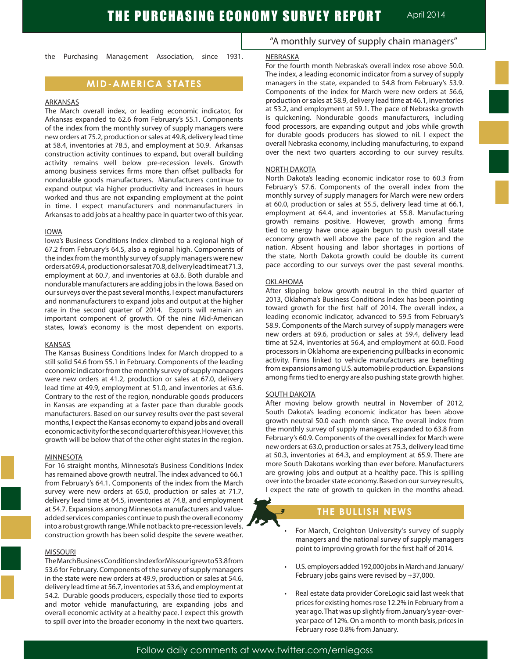the Purchasing Management Association, since 1931.

# **MID-AMERICA STATES**

#### ARKANSAS

The March overall index, or leading economic indicator, for Arkansas expanded to 62.6 from February's 55.1. Components of the index from the monthly survey of supply managers were new orders at 75.2, production orsales at 49.8, delivery lead time at 58.4, inventories at 78.5, and employment at 50.9. Arkansas construction activity continues to expand, but overall building activity remains well below pre-recession levels. Growth among business services firms more than offset pullbacks for nondurable goods manufacturers. Manufacturers continue to expand output via higher productivity and increases in hours worked and thus are not expanding employment at the point in time. I expect manufacturers and nonmanufacturers in Arkansas to add jobs at a healthy pace in quarter two of this year.

#### IOWA

Iowa's Business Conditions Index climbed to a regional high of 67.2 from February's 64.5, also a regional high. Components of the index from the monthly survey of supply managers were new ordersat69.4,productionorsalesat70.8,deliveryleadtimeat71.3, employment at 60.7, and inventories at 63.6. Both durable and nondurable manufacturers are adding jobs in the Iowa. Based on our surveys over the past several months, I expect manufacturers and nonmanufacturers to expand jobs and output at the higher rate in the second quarter of 2014. Exports will remain an important component of growth. Of the nine Mid-American states, Iowa's economy is the most dependent on exports.

#### KANSAS

The Kansas Business Conditions Index for March dropped to a still solid 54.6 from 55.1 in February. Components of the leading economic indicator from the monthly survey of supply managers were new orders at 41.2, production or sales at 67.0, delivery lead time at 49.9, employment at 51.0, and inventories at 63.6. Contrary to the rest of the region, nondurable goods producers in Kansas are expanding at a faster pace than durable goods manufacturers. Based on our survey results over the past several months, I expect the Kansas economy to expand jobs and overall economic activity for the second quarter of this year. However, this growth will be below that of the other eight states in the region.

#### MINNESOTA

For 16 straight months, Minnesota's Business Conditions Index has remained above growth neutral. The index advanced to 66.1 from February's 64.1. Components of the index from the March survey were new orders at 65.0, production or sales at 71.7, delivery lead time at 64.5, inventories at 74.8, and employment at 54.7. Expansions among Minnesota manufacturers and valueadded services companies continue to push the overall economy into a robust growth range. While not back to pre-recession levels, construction growth has been solid despite the severe weather.

#### MISSOURI

TheMarchBusinessConditionsIndexforMissourigrewto53.8from 53.6 for February. Components of the survey of supply managers in the state were new orders at 49.9, production or sales at 54.6, delivery lead time at 56.7, inventories at 53.6, and employment at 54.2. Durable goods producers, especially those tied to exports and motor vehicle manufacturing, are expanding jobs and overall economic activity at a healthy pace. I expect this growth to spill over into the broader economy in the next two quarters.

## "A monthly survey of supply chain managers"

#### NEBRASKA

For the fourth month Nebraska's overall index rose above 50.0. The index, a leading economic indicator from a survey of supply managers in the state, expanded to 54.8 from February's 53.9. Components of the index for March were new orders at 56.6, production orsales at 58.9, delivery lead time at 46.1, inventories at 53.2, and employment at 59.1. The pace of Nebraska growth is quickening. Nondurable goods manufacturers, including food processors, are expanding output and jobs while growth for durable goods producers has slowed to nil. I expect the overall Nebraska economy, including manufacturing, to expand over the next two quarters according to our survey results.

#### NORTH DAKOTA

North Dakota's leading economic indicator rose to 60.3 from February's 57.6. Components of the overall index from the monthly survey of supply managers for March were new orders at 60.0, production or sales at 55.5, delivery lead time at 66.1, employment at 64.4, and inventories at 55.8. Manufacturing growth remains positive. However, growth among firms tied to energy have once again begun to push overall state economy growth well above the pace of the region and the nation. Absent housing and labor shortages in portions of the state, North Dakota growth could be double its current pace according to our surveys over the past several months.

#### **OKLAHOMA**

After slipping below growth neutral in the third quarter of 2013, Oklahoma's Business Conditions Index has been pointing toward growth for the first half of 2014. The overall index, a leading economic indicator, advanced to 59.5 from February's 58.9. Components of the March survey of supply managers were new orders at 69.6, production or sales at 59.4, delivery lead time at 52.4, inventories at 56.4, and employment at 60.0. Food processors in Oklahoma are experiencing pullbacks in economic activity. Firms linked to vehicle manufacturers are benefiting from expansions among U.S. automobile production. Expansions among firms tied to energy are also pushing state growth higher.

#### **SOUTH DAKOTA**

After moving below growth neutral in November of 2012, South Dakota's leading economic indicator has been above growth neutral 50.0 each month since. The overall index from the monthly survey of supply managers expanded to 63.8 from February's 60.9. Components of the overall index for March were new orders at 63.0, production or sales at 75.3, delivery lead time at 50.3, inventories at 64.3, and employment at 65.9. There are more South Dakotans working than ever before. Manufacturers are growing jobs and output at a healthy pace. This is spilling over into the broader state economy. Based on our survey results, I expect the rate of growth to quicken in the months ahead.

## **THE BULLISH NEWS**

- For March, Creighton University's survey of supply managers and the national survey of supply managers point to improving growth for the first half of 2014.
- U.S. employers added 192,000 jobs in March and January/ February jobs gains were revised by +37,000.
- Real estate data provider CoreLogic said last week that prices for existing homes rose 12.2% in February from a year ago. That was up slightly from January's year-overyear pace of 12%. On a month-to-month basis, prices in February rose 0.8% from January.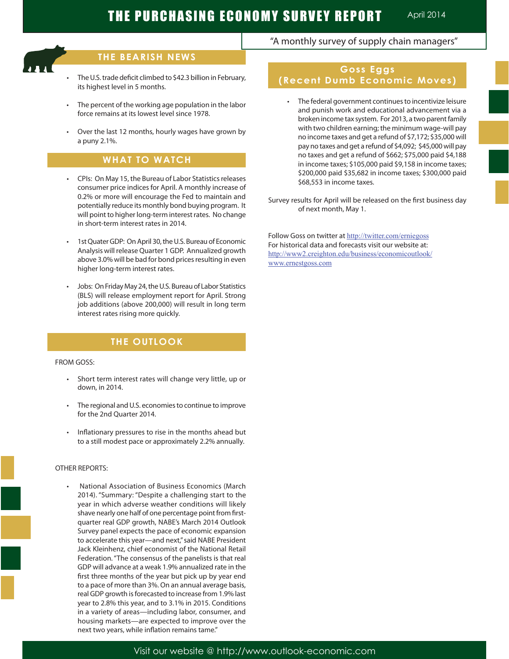Ĩ

# **THE BEARISH NEWS**

- The U.S. trade deficit climbed to \$42.3 billion in February, its highest level in 5 months.
- The percent of the working age population in the labor force remains at its lowest level since 1978.
- Over the last 12 months, hourly wages have grown by a puny 2.1%.

# **WHAT TO WATCH**

- CPIs: On May 15, the Bureau of Labor Statistics releases consumer price indices for April. A monthly increase of 0.2% or more will encourage the Fed to maintain and potentially reduce its monthly bond buying program. It will point to higher long-term interest rates. No change in short-term interest rates in 2014.
- 1st Quater GDP: On April 30, the U.S. Bureau of Economic Analysis will releaseQuarter 1 GDP. Annualized growth above 3.0% will be bad for bond prices resulting in even higher long-term interest rates.
- Jobs: On Friday May 24, the U.S. Bureau of Labor Statistics (BLS) will release employment report for April. Strong job additions (above 200,000) will result in long term interest rates rising more quickly.

# **THE OUTLOOK**

### FROM GOSS:

- • Short term interest rates will change very little, up or down, in 2014.
- The regional and U.S. economies to continue to improve for the 2nd Quarter 2014.
- Inflationary pressures to rise in the months ahead but to a still modest pace or approximately 2.2% annually.

### OTHER REPORTS:

National Association of Business Economics (March 2014). "Summary: "Despite a challenging start to the year in which adverse weather conditions will likely shave nearly one half of one percentage point from firstquarter real GDP growth, NABE's March 2014 Outlook Survey panel expects the pace of economic expansion to accelerate this year—and next," said NABE President Jack Kleinhenz, chief economist of the National Retail Federation. "The consensus of the panelists is that real GDP will advance at a weak 1.9% annualized rate in the first three months of the year but pick up by year end to a pace of more than 3%. On an annual average basis, real GDP growth is forecasted to increase from 1.9% last year to 2.8% this year, and to 3.1% in 2015. Conditions in a variety of areas—including labor, consumer, and housing markets—are expected to improve over the next two years, while inflation remains tame."

# "A monthly survey of supply chain managers"

# **Goss Eggs (Recent Dumb Economic Moves)**

 • The federal government continuesto incentivize leisure and punish work and educational advancement via a broken income tax system. For 2013, a two parent family with two children earning; the minimum wage-will pay no income taxes and get a refund of \$7,172; \$35,000 will pay no taxes and get a refund of \$4,092; \$45,000 will pay no taxes and get a refund of \$662; \$75,000 paid \$4,188 in income taxes; \$105,000 paid \$9,158 in income taxes; \$200,000 paid \$35,682 in income taxes; \$300,000 paid \$68,553 in income taxes.

Survey results for April will be released on the first business day of next month, May 1.

Follow Goss on twitter at http://twitter.com/erniegoss For historical data and forecasts visit our website at: http://www2.creighton.edu/business/economicoutlook/ www.ernestgoss.com